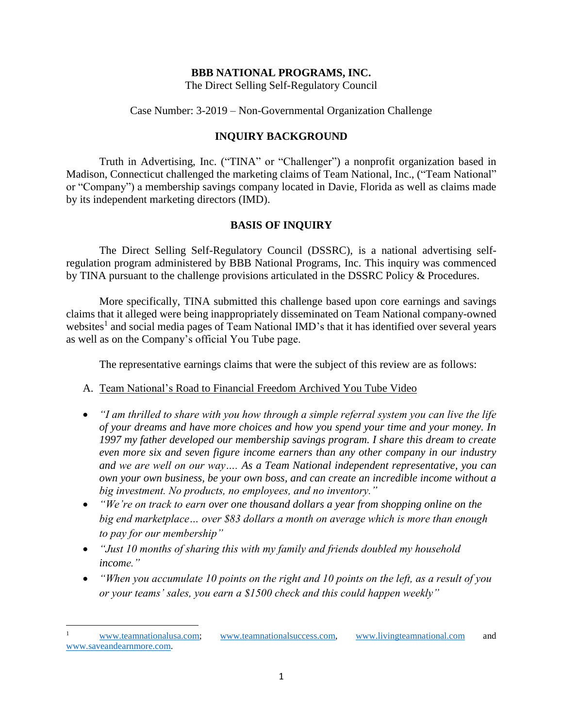### **BBB NATIONAL PROGRAMS, INC.**

The Direct Selling Self-Regulatory Council

Case Number: 3-2019 – Non-Governmental Organization Challenge

## **INQUIRY BACKGROUND**

Truth in Advertising, Inc. ("TINA" or "Challenger") a nonprofit organization based in Madison, Connecticut challenged the marketing claims of Team National, Inc., ("Team National" or "Company") a membership savings company located in Davie, Florida as well as claims made by its independent marketing directors (IMD).

## **BASIS OF INQUIRY**

The Direct Selling Self-Regulatory Council (DSSRC), is a national advertising selfregulation program administered by BBB National Programs, Inc. This inquiry was commenced by TINA pursuant to the challenge provisions articulated in the DSSRC Policy & Procedures.

More specifically, TINA submitted this challenge based upon core earnings and savings claims that it alleged were being inappropriately disseminated on Team National company-owned websites<sup>1</sup> and social media pages of Team National IMD's that it has identified over several years as well as on the Company's official You Tube page.

The representative earnings claims that were the subject of this review are as follows:

## A. Team National's Road to Financial Freedom Archived You Tube Video

- *"I am thrilled to share with you how through a simple referral system you can live the life of your dreams and have more choices and how you spend your time and your money. In 1997 my father developed our membership savings program. I share this dream to create even more six and seven figure income earners than any other company in our industry and we are well on our way…. As a Team National independent representative, you can own your own business, be your own boss, and can create an incredible income without a big investment. No products, no employees, and no inventory."*
- *"We're on track to earn over one thousand dollars a year from shopping online on the big end marketplace… over \$83 dollars a month on average which is more than enough to pay for our membership"*
- *"Just 10 months of sharing this with my family and friends doubled my household income."*
- *"When you accumulate 10 points on the right and 10 points on the left, as a result of you or your teams' sales, you earn a \$1500 check and this could happen weekly"*

 $\overline{\phantom{a}}$ 

[www.teamnationalusa.com;](http://www.teamnationalusa.com/) [www.teamnationalsuccess.com,](http://www.teamnationalsuccess.com/) [www.livingteamnational.com](http://www.livingteamnational.com/) and [www.saveandearnmore.com.](http://www.saveandearnmore.com/)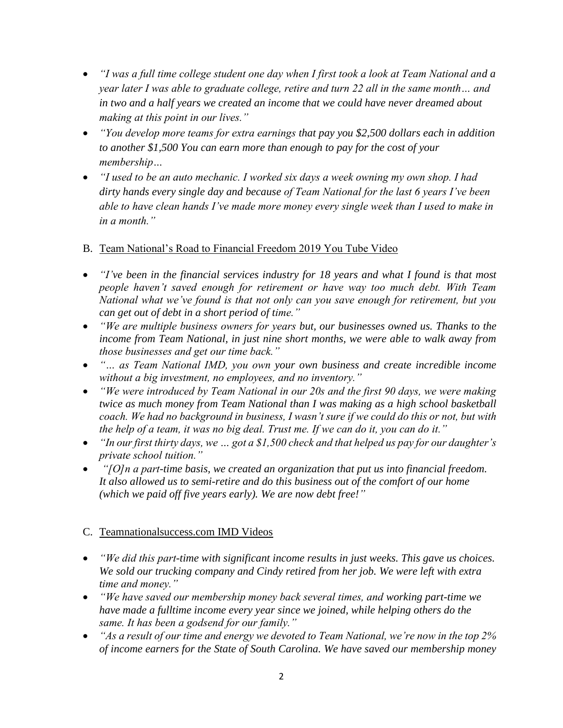- *"I was a full time college student one day when I first took a look at Team National and a year later I was able to graduate college, retire and turn 22 all in the same month… and*  in two and a half years we created an income that we could have never dreamed about *making at this point in our lives."*
- *"You develop more teams for extra earnings that pay you \$2,500 dollars each in addition to another \$1,500 You can earn more than enough to pay for the cost of your membership…*
- *"I used to be an auto mechanic. I worked six days a week owning my own shop. I had dirty hands every single day and because of Team National for the last 6 years I've been able to have clean hands I've made more money every single week than I used to make in in a month."*
- B. Team National's Road to Financial Freedom 2019 You Tube Video
- *"I've been in the financial services industry for 18 years and what I found is that most people haven't saved enough for retirement or have way too much debt. With Team National what we've found is that not only can you save enough for retirement, but you can get out of debt in a short period of time."*
- *"We are multiple business owners for years but, our businesses owned us. Thanks to the income from Team National, in just nine short months, we were able to walk away from those businesses and get our time back."*
- *"… as Team National IMD, you own your own business and create incredible income without a big investment, no employees, and no inventory."*
- *"We were introduced by Team National in our 20s and the first 90 days, we were making twice as much money from Team National than I was making as a high school basketball coach. We had no background in business, I wasn't sure if we could do this or not, but with the help of a team, it was no big deal. Trust me. If we can do it, you can do it."*
- *"In our first thirty days, we … got a \$1,500 check and that helped us pay for our daughter's private school tuition."*
- *"[O]n a part-time basis, we created an organization that put us into financial freedom. It also allowed us to semi-retire and do this business out of the comfort of our home (which we paid off five years early). We are now debt free!"*

# C. Teamnationalsuccess.com IMD Videos

- *"We did this part-time with significant income results in just weeks. This gave us choices. We sold our trucking company and Cindy retired from her job. We were left with extra time and money."*
- *"We have saved our membership money back several times, and working part-time we have made a fulltime income every year since we joined, while helping others do the same. It has been a godsend for our family."*
- *"As a result of our time and energy we devoted to Team National, we're now in the top 2% of income earners for the State of South Carolina. We have saved our membership money*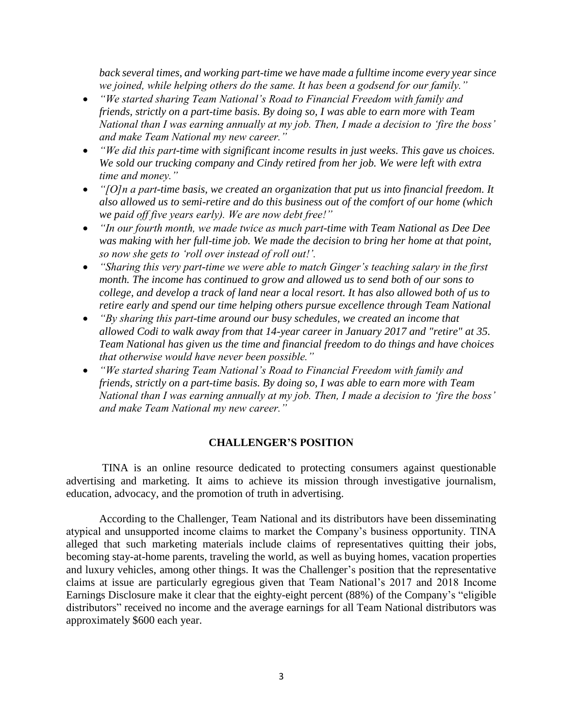*back several times, and working part-time we have made a fulltime income every year since we joined, while helping others do the same. It has been a godsend for our family."* 

- *"We started sharing Team National's Road to Financial Freedom with family and friends, strictly on a part-time basis. By doing so, I was able to earn more with Team National than I was earning annually at my job. Then, I made a decision to 'fire the boss' and make Team National my new career."*
- *"We did this part-time with significant income results in just weeks. This gave us choices. We sold our trucking company and Cindy retired from her job. We were left with extra time and money."*
- *"[O]n a part-time basis, we created an organization that put us into financial freedom. It also allowed us to semi-retire and do this business out of the comfort of our home (which we paid off five years early). We are now debt free!"*
- *"In our fourth month, we made twice as much part-time with Team National as Dee Dee was making with her full-time job. We made the decision to bring her home at that point, so now she gets to 'roll over instead of roll out!'.*
- *"Sharing this very part-time we were able to match Ginger's teaching salary in the first month. The income has continued to grow and allowed us to send both of our sons to college, and develop a track of land near a local resort. It has also allowed both of us to retire early and spend our time helping others pursue excellence through Team National*
- *"By sharing this part-time around our busy schedules, we created an income that allowed Codi to walk away from that 14-year career in January 2017 and "retire" at 35. Team National has given us the time and financial freedom to do things and have choices that otherwise would have never been possible."*
- *"We started sharing Team National's Road to Financial Freedom with family and friends, strictly on a part-time basis. By doing so, I was able to earn more with Team National than I was earning annually at my job. Then, I made a decision to 'fire the boss' and make Team National my new career."*

### **CHALLENGER'S POSITION**

TINA is an online resource dedicated to protecting consumers against questionable advertising and marketing. It aims to achieve its mission through investigative journalism, education, advocacy, and the promotion of truth in advertising.

According to the Challenger, Team National and its distributors have been disseminating atypical and unsupported income claims to market the Company's business opportunity. TINA alleged that such marketing materials include claims of representatives quitting their jobs, becoming stay-at-home parents, traveling the world, as well as buying homes, vacation properties and luxury vehicles, among other things. It was the Challenger's position that the representative claims at issue are particularly egregious given that Team National's 2017 and 2018 Income Earnings Disclosure make it clear that the eighty-eight percent (88%) of the Company's "eligible distributors" received no income and the average earnings for all Team National distributors was approximately \$600 each year.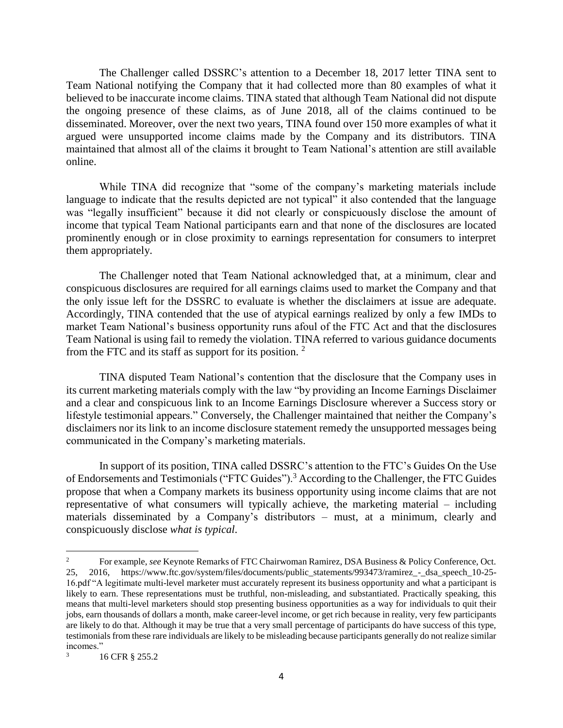The Challenger called DSSRC's attention to a December 18, 2017 letter TINA sent to Team National notifying the Company that it had collected more than 80 examples of what it believed to be inaccurate income claims. TINA stated that although Team National did not dispute the ongoing presence of these claims, as of June 2018, all of the claims continued to be disseminated. Moreover, over the next two years, TINA found over 150 more examples of what it argued were unsupported income claims made by the Company and its distributors. TINA maintained that almost all of the claims it brought to Team National's attention are still available online.

While TINA did recognize that "some of the company's marketing materials include language to indicate that the results depicted are not typical" it also contended that the language was "legally insufficient" because it did not clearly or conspicuously disclose the amount of income that typical Team National participants earn and that none of the disclosures are located prominently enough or in close proximity to earnings representation for consumers to interpret them appropriately.

The Challenger noted that Team National acknowledged that, at a minimum, clear and conspicuous disclosures are required for all earnings claims used to market the Company and that the only issue left for the DSSRC to evaluate is whether the disclaimers at issue are adequate. Accordingly, TINA contended that the use of atypical earnings realized by only a few IMDs to market Team National's business opportunity runs afoul of the FTC Act and that the disclosures Team National is using fail to remedy the violation. TINA referred to various guidance documents from the FTC and its staff as support for its position. <sup>2</sup>

TINA disputed Team National's contention that the disclosure that the Company uses in its current marketing materials comply with the law "by providing an Income Earnings Disclaimer and a clear and conspicuous link to an Income Earnings Disclosure wherever a Success story or lifestyle testimonial appears." Conversely, the Challenger maintained that neither the Company's disclaimers nor its link to an income disclosure statement remedy the unsupported messages being communicated in the Company's marketing materials.

In support of its position, TINA called DSSRC's attention to the FTC's Guides On the Use of Endorsements and Testimonials ("FTC Guides").<sup>3</sup> According to the Challenger, the FTC Guides propose that when a Company markets its business opportunity using income claims that are not representative of what consumers will typically achieve, the marketing material – including materials disseminated by a Company's distributors – must, at a minimum, clearly and conspicuously disclose *what is typical*.

 $\overline{c}$ <sup>2</sup> For example, *see* Keynote Remarks of FTC Chairwoman Ramirez, DSA Business & Policy Conference, Oct. 25, 2016, https://www.ftc.gov/system/files/documents/public\_statements/993473/ramirez\_-\_dsa\_speech\_10-25- 16.pdf "A legitimate multi-level marketer must accurately represent its business opportunity and what a participant is likely to earn. These representations must be truthful, non-misleading, and substantiated. Practically speaking, this means that multi-level marketers should stop presenting business opportunities as a way for individuals to quit their jobs, earn thousands of dollars a month, make career-level income, or get rich because in reality, very few participants are likely to do that. Although it may be true that a very small percentage of participants do have success of this type, testimonials from these rare individuals are likely to be misleading because participants generally do not realize similar incomes."

<sup>3</sup> 16 CFR § 255.2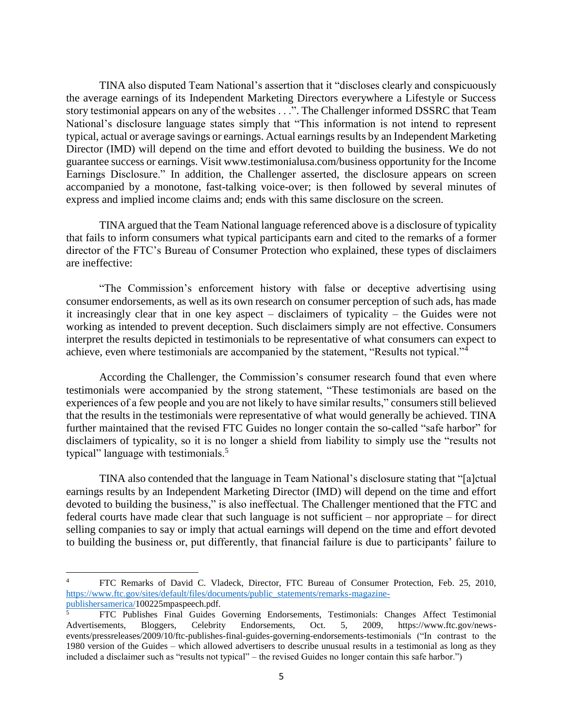TINA also disputed Team National's assertion that it "discloses clearly and conspicuously the average earnings of its Independent Marketing Directors everywhere a Lifestyle or Success story testimonial appears on any of the websites . . .". The Challenger informed DSSRC that Team National's disclosure language states simply that "This information is not intend to represent typical, actual or average savings or earnings. Actual earnings results by an Independent Marketing Director (IMD) will depend on the time and effort devoted to building the business. We do not guarantee success or earnings. Visit www.testimonialusa.com/business opportunity for the Income Earnings Disclosure." In addition, the Challenger asserted, the disclosure appears on screen accompanied by a monotone, fast-talking voice-over; is then followed by several minutes of express and implied income claims and; ends with this same disclosure on the screen.

TINA argued that the Team National language referenced above is a disclosure of typicality that fails to inform consumers what typical participants earn and cited to the remarks of a former director of the FTC's Bureau of Consumer Protection who explained, these types of disclaimers are ineffective:

"The Commission's enforcement history with false or deceptive advertising using consumer endorsements, as well as its own research on consumer perception of such ads, has made it increasingly clear that in one key aspect – disclaimers of typicality – the Guides were not working as intended to prevent deception. Such disclaimers simply are not effective. Consumers interpret the results depicted in testimonials to be representative of what consumers can expect to achieve, even where testimonials are accompanied by the statement, "Results not typical."<sup>4</sup>

According the Challenger, the Commission's consumer research found that even where testimonials were accompanied by the strong statement, "These testimonials are based on the experiences of a few people and you are not likely to have similar results," consumers still believed that the results in the testimonials were representative of what would generally be achieved. TINA further maintained that the revised FTC Guides no longer contain the so-called "safe harbor" for disclaimers of typicality, so it is no longer a shield from liability to simply use the "results not typical" language with testimonials.<sup>5</sup>

TINA also contended that the language in Team National's disclosure stating that "[a]ctual earnings results by an Independent Marketing Director (IMD) will depend on the time and effort devoted to building the business," is also ineffectual. The Challenger mentioned that the FTC and federal courts have made clear that such language is not sufficient – nor appropriate – for direct selling companies to say or imply that actual earnings will depend on the time and effort devoted to building the business or, put differently, that financial failure is due to participants' failure to

 $\overline{a}$ 

<sup>4</sup> FTC Remarks of David C. Vladeck, Director, FTC Bureau of Consumer Protection, Feb. 25, 2010, [https://www.ftc.gov/sites/default/files/documents/public\\_statements/remarks-magazine](https://www.ftc.gov/sites/default/files/documents/public_statements/remarks-magazine-publishersamerica/)[publishersamerica/1](https://www.ftc.gov/sites/default/files/documents/public_statements/remarks-magazine-publishersamerica/)00225mpaspeech.pdf.

<sup>5</sup> FTC Publishes Final Guides Governing Endorsements, Testimonials: Changes Affect Testimonial Advertisements, Bloggers, Celebrity Endorsements, Oct. 5, 2009, https://www.ftc.gov/newsevents/pressreleases/2009/10/ftc-publishes-final-guides-governing-endorsements-testimonials ("In contrast to the 1980 version of the Guides – which allowed advertisers to describe unusual results in a testimonial as long as they included a disclaimer such as "results not typical" – the revised Guides no longer contain this safe harbor.")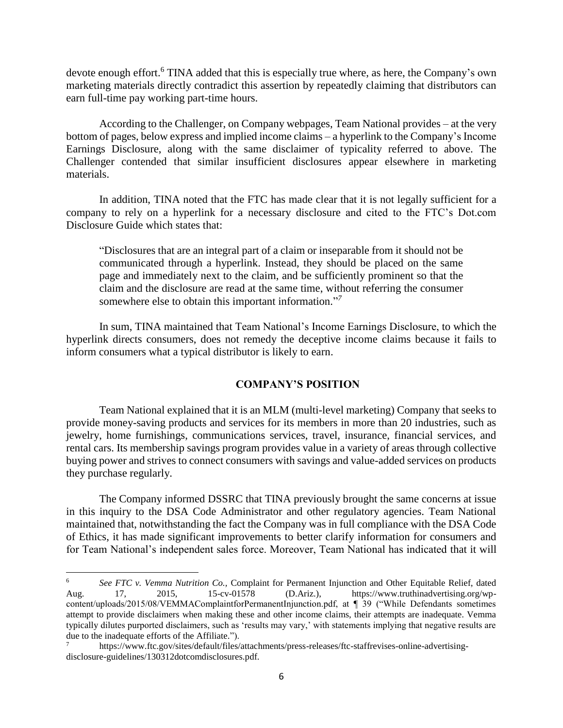devote enough effort.<sup>6</sup> TINA added that this is especially true where, as here, the Company's own marketing materials directly contradict this assertion by repeatedly claiming that distributors can earn full-time pay working part-time hours.

According to the Challenger, on Company webpages, Team National provides – at the very bottom of pages, below express and implied income claims – a hyperlink to the Company's Income Earnings Disclosure, along with the same disclaimer of typicality referred to above. The Challenger contended that similar insufficient disclosures appear elsewhere in marketing materials.

In addition, TINA noted that the FTC has made clear that it is not legally sufficient for a company to rely on a hyperlink for a necessary disclosure and cited to the FTC's Dot.com Disclosure Guide which states that:

"Disclosures that are an integral part of a claim or inseparable from it should not be communicated through a hyperlink. Instead, they should be placed on the same page and immediately next to the claim, and be sufficiently prominent so that the claim and the disclosure are read at the same time, without referring the consumer somewhere else to obtain this important information." *7*

In sum, TINA maintained that Team National's Income Earnings Disclosure, to which the hyperlink directs consumers, does not remedy the deceptive income claims because it fails to inform consumers what a typical distributor is likely to earn.

## **COMPANY'S POSITION**

Team National explained that it is an MLM (multi-level marketing) Company that seeks to provide money-saving products and services for its members in more than 20 industries, such as jewelry, home furnishings, communications services, travel, insurance, financial services, and rental cars. Its membership savings program provides value in a variety of areas through collective buying power and strives to connect consumers with savings and value-added services on products they purchase regularly.

The Company informed DSSRC that TINA previously brought the same concerns at issue in this inquiry to the DSA Code Administrator and other regulatory agencies. Team National maintained that, notwithstanding the fact the Company was in full compliance with the DSA Code of Ethics, it has made significant improvements to better clarify information for consumers and for Team National's independent sales force. Moreover, Team National has indicated that it will

 $6\overline{6}$ <sup>6</sup> *See FTC v. Vemma Nutrition Co.,* Complaint for Permanent Injunction and Other Equitable Relief, dated Aug. 17, 2015, 15-cv-01578 (D.Ariz.), https://www.truthinadvertising.org/wpcontent/uploads/2015/08/VEMMAComplaintforPermanentInjunction.pdf, at ¶ 39 ("While Defendants sometimes attempt to provide disclaimers when making these and other income claims, their attempts are inadequate. Vemma typically dilutes purported disclaimers, such as 'results may vary,' with statements implying that negative results are due to the inadequate efforts of the Affiliate.").

<sup>7</sup> https://www.ftc.gov/sites/default/files/attachments/press-releases/ftc-staffrevises-online-advertisingdisclosure-guidelines/130312dotcomdisclosures.pdf.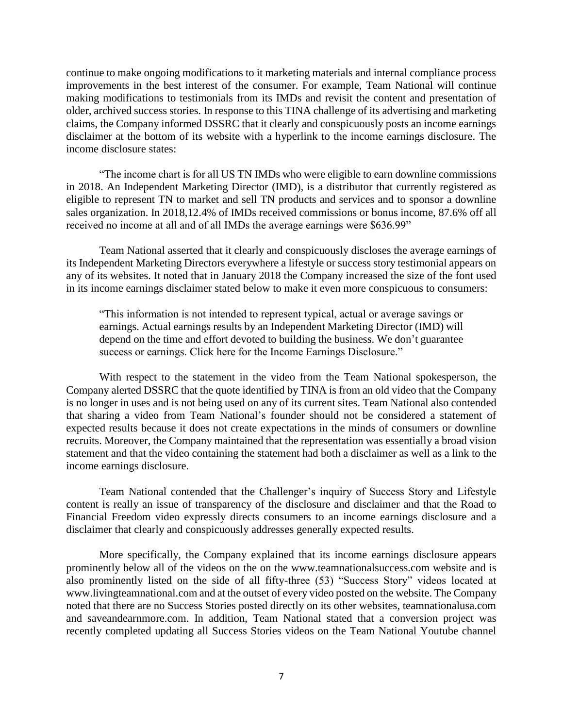continue to make ongoing modifications to it marketing materials and internal compliance process improvements in the best interest of the consumer. For example, Team National will continue making modifications to testimonials from its IMDs and revisit the content and presentation of older, archived success stories. In response to this TINA challenge of its advertising and marketing claims, the Company informed DSSRC that it clearly and conspicuously posts an income earnings disclaimer at the bottom of its website with a hyperlink to the income earnings disclosure. The income disclosure states:

"The income chart is for all US TN IMDs who were eligible to earn downline commissions in 2018. An Independent Marketing Director (IMD), is a distributor that currently registered as eligible to represent TN to market and sell TN products and services and to sponsor a downline sales organization. In 2018,12.4% of IMDs received commissions or bonus income, 87.6% off all received no income at all and of all IMDs the average earnings were \$636.99"

Team National asserted that it clearly and conspicuously discloses the average earnings of its Independent Marketing Directors everywhere a lifestyle or success story testimonial appears on any of its websites. It noted that in January 2018 the Company increased the size of the font used in its income earnings disclaimer stated below to make it even more conspicuous to consumers:

"This information is not intended to represent typical, actual or average savings or earnings. Actual earnings results by an Independent Marketing Director (IMD) will depend on the time and effort devoted to building the business. We don't guarantee success or earnings. Click here for the Income Earnings Disclosure."

With respect to the statement in the video from the Team National spokesperson, the Company alerted DSSRC that the quote identified by TINA is from an old video that the Company is no longer in uses and is not being used on any of its current sites. Team National also contended that sharing a video from Team National's founder should not be considered a statement of expected results because it does not create expectations in the minds of consumers or downline recruits. Moreover, the Company maintained that the representation was essentially a broad vision statement and that the video containing the statement had both a disclaimer as well as a link to the income earnings disclosure.

Team National contended that the Challenger's inquiry of Success Story and Lifestyle content is really an issue of transparency of the disclosure and disclaimer and that the Road to Financial Freedom video expressly directs consumers to an income earnings disclosure and a disclaimer that clearly and conspicuously addresses generally expected results.

More specifically, the Company explained that its income earnings disclosure appears prominently below all of the videos on the on the www.teamnationalsuccess.com website and is also prominently listed on the side of all fifty-three (53) "Success Story" videos located at www.livingteamnational.com and at the outset of every video posted on the website. The Company noted that there are no Success Stories posted directly on its other websites, teamnationalusa.com and saveandearnmore.com. In addition, Team National stated that a conversion project was recently completed updating all Success Stories videos on the Team National Youtube channel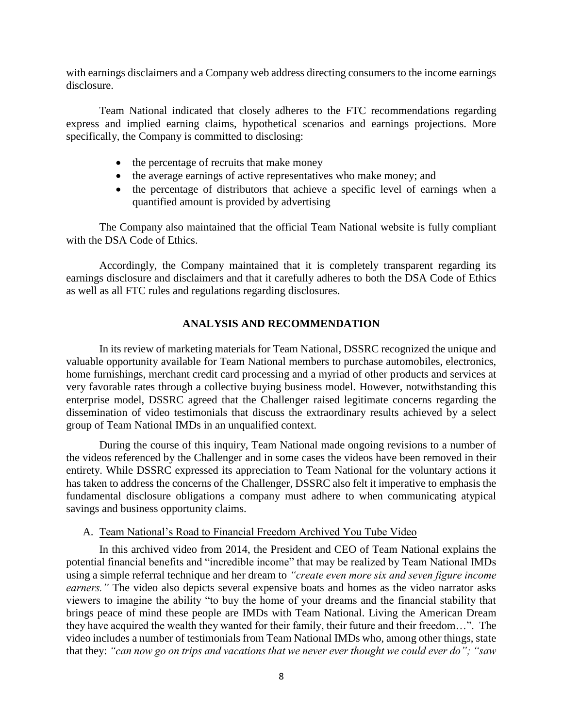with earnings disclaimers and a Company web address directing consumers to the income earnings disclosure.

Team National indicated that closely adheres to the FTC recommendations regarding express and implied earning claims, hypothetical scenarios and earnings projections. More specifically, the Company is committed to disclosing:

- the percentage of recruits that make money
- the average earnings of active representatives who make money; and
- the percentage of distributors that achieve a specific level of earnings when a quantified amount is provided by advertising

The Company also maintained that the official Team National website is fully compliant with the DSA Code of Ethics.

Accordingly, the Company maintained that it is completely transparent regarding its earnings disclosure and disclaimers and that it carefully adheres to both the DSA Code of Ethics as well as all FTC rules and regulations regarding disclosures.

## **ANALYSIS AND RECOMMENDATION**

In its review of marketing materials for Team National, DSSRC recognized the unique and valuable opportunity available for Team National members to purchase automobiles, electronics, home furnishings, merchant credit card processing and a myriad of other products and services at very favorable rates through a collective buying business model. However, notwithstanding this enterprise model, DSSRC agreed that the Challenger raised legitimate concerns regarding the dissemination of video testimonials that discuss the extraordinary results achieved by a select group of Team National IMDs in an unqualified context.

During the course of this inquiry, Team National made ongoing revisions to a number of the videos referenced by the Challenger and in some cases the videos have been removed in their entirety. While DSSRC expressed its appreciation to Team National for the voluntary actions it has taken to address the concerns of the Challenger, DSSRC also felt it imperative to emphasis the fundamental disclosure obligations a company must adhere to when communicating atypical savings and business opportunity claims.

#### A. Team National's Road to Financial Freedom Archived You Tube Video

In this archived video from 2014, the President and CEO of Team National explains the potential financial benefits and "incredible income" that may be realized by Team National IMDs using a simple referral technique and her dream to *"create even more six and seven figure income earners."* The video also depicts several expensive boats and homes as the video narrator asks viewers to imagine the ability "to buy the home of your dreams and the financial stability that brings peace of mind these people are IMDs with Team National. Living the American Dream they have acquired the wealth they wanted for their family, their future and their freedom…". The video includes a number of testimonials from Team National IMDs who, among other things, state that they: *"can now go on trips and vacations that we never ever thought we could ever do"; "saw*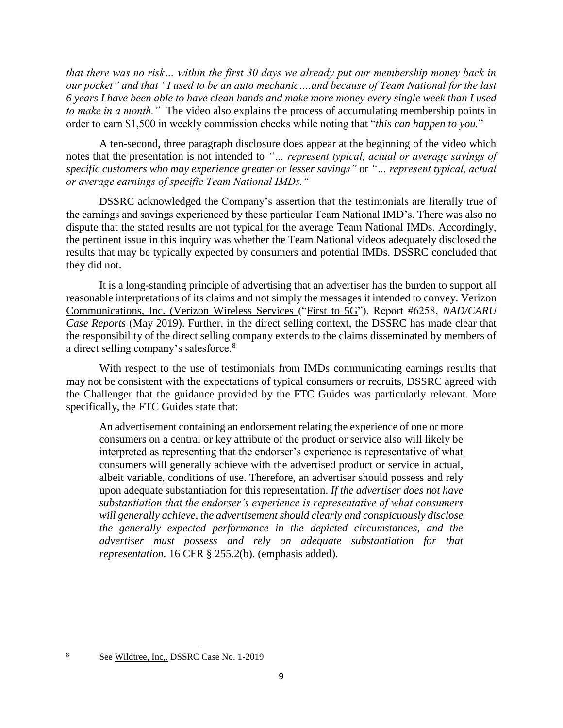*that there was no risk… within the first 30 days we already put our membership money back in our pocket" and that "I used to be an auto mechanic….and because of Team National for the last 6 years I have been able to have clean hands and make more money every single week than I used to make in a month."* The video also explains the process of accumulating membership points in order to earn \$1,500 in weekly commission checks while noting that "*this can happen to you.*"

A ten-second, three paragraph disclosure does appear at the beginning of the video which notes that the presentation is not intended to *"… represent typical, actual or average savings of specific customers who may experience greater or lesser savings"* or *"… represent typical, actual or average earnings of specific Team National IMDs."*

DSSRC acknowledged the Company's assertion that the testimonials are literally true of the earnings and savings experienced by these particular Team National IMD's. There was also no dispute that the stated results are not typical for the average Team National IMDs. Accordingly, the pertinent issue in this inquiry was whether the Team National videos adequately disclosed the results that may be typically expected by consumers and potential IMDs. DSSRC concluded that they did not.

It is a long-standing principle of advertising that an advertiser has the burden to support all reasonable interpretations of its claims and not simply the messages it intended to convey. Verizon Communications, Inc. (Verizon Wireless Services ("First to 5G"), Report #6258, *NAD/CARU Case Reports* (May 2019). Further, in the direct selling context, the DSSRC has made clear that the responsibility of the direct selling company extends to the claims disseminated by members of a direct selling company's salesforce.<sup>8</sup>

With respect to the use of testimonials from IMDs communicating earnings results that may not be consistent with the expectations of typical consumers or recruits, DSSRC agreed with the Challenger that the guidance provided by the FTC Guides was particularly relevant. More specifically, the FTC Guides state that:

An advertisement containing an endorsement relating the experience of one or more consumers on a central or key attribute of the product or service also will likely be interpreted as representing that the endorser's experience is representative of what consumers will generally achieve with the advertised product or service in actual, albeit variable, conditions of use. Therefore, an advertiser should possess and rely upon adequate substantiation for this representation. *If the advertiser does not have substantiation that the endorser's experience is representative of what consumers will generally achieve, the advertisement should clearly and conspicuously disclose the generally expected performance in the depicted circumstances, and the advertiser must possess and rely on adequate substantiation for that representation.* 16 CFR § 255.2(b). (emphasis added).

 $\overline{\phantom{a}}$ 

See Wildtree, Inc., DSSRC Case No. 1-2019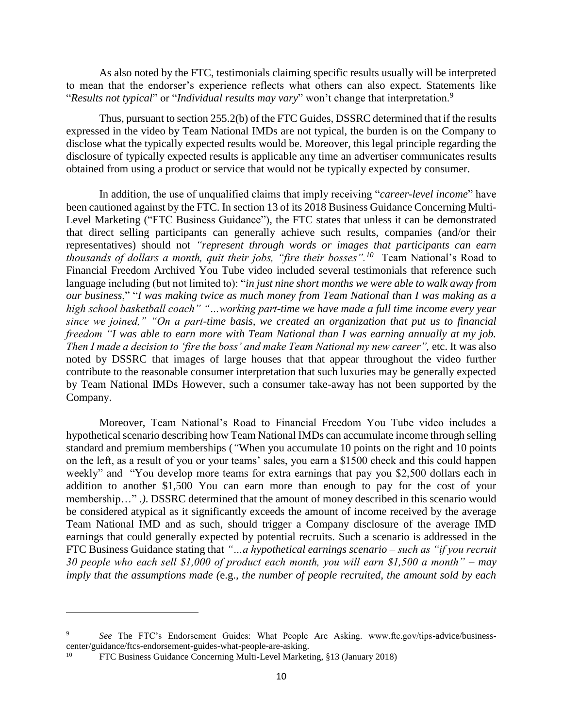As also noted by the FTC, testimonials claiming specific results usually will be interpreted to mean that the endorser's experience reflects what others can also expect. Statements like "*Results not typical*" or "*Individual results may vary*" won't change that interpretation.<sup>9</sup>

Thus, pursuant to section 255.2(b) of the FTC Guides, DSSRC determined that if the results expressed in the video by Team National IMDs are not typical, the burden is on the Company to disclose what the typically expected results would be. Moreover, this legal principle regarding the disclosure of typically expected results is applicable any time an advertiser communicates results obtained from using a product or service that would not be typically expected by consumer.

In addition, the use of unqualified claims that imply receiving "*career-level income*" have been cautioned against by the FTC. In section 13 of its 2018 Business Guidance Concerning Multi-Level Marketing ("FTC Business Guidance"), the FTC states that unless it can be demonstrated that direct selling participants can generally achieve such results, companies (and/or their representatives) should not *"represent through words or images that participants can earn thousands of dollars a month, quit their jobs, "fire their bosses".<sup>10</sup> Team National's Road to* Financial Freedom Archived You Tube video included several testimonials that reference such language including (but not limited to): "*in just nine short months we were able to walk away from our business*," "*I was making twice as much money from Team National than I was making as a high school basketball coach" "…working part-time we have made a full time income every year since we joined," "On a part-time basis, we created an organization that put us to financial freedom "I was able to earn more with Team National than I was earning annually at my job. Then I made a decision to 'fire the boss' and make Team National my new career''*, etc. It was also noted by DSSRC that images of large houses that that appear throughout the video further contribute to the reasonable consumer interpretation that such luxuries may be generally expected by Team National IMDs However, such a consumer take-away has not been supported by the Company.

Moreover, Team National's Road to Financial Freedom You Tube video includes a hypothetical scenario describing how Team National IMDs can accumulate income through selling standard and premium memberships (*"*When you accumulate 10 points on the right and 10 points on the left, as a result of you or your teams' sales, you earn a \$1500 check and this could happen weekly" and "You develop more teams for extra earnings that pay you \$2,500 dollars each in addition to another \$1,500 You can earn more than enough to pay for the cost of your membership…" .*)*. DSSRC determined that the amount of money described in this scenario would be considered atypical as it significantly exceeds the amount of income received by the average Team National IMD and as such, should trigger a Company disclosure of the average IMD earnings that could generally expected by potential recruits. Such a scenario is addressed in the FTC Business Guidance stating that *"…a hypothetical earnings scenario – such as "if you recruit 30 people who each sell \$1,000 of product each month, you will earn \$1,500 a month" – may imply that the assumptions made (*e.g.*, the number of people recruited, the amount sold by each* 

l

<sup>9</sup> *See* The FTC's Endorsement Guides: What People Are Asking. www.ftc.gov/tips-advice/businesscenter/guidance/ftcs-endorsement-guides-what-people-are-asking.

<sup>10</sup> FTC Business Guidance Concerning Multi-Level Marketing, §13 (January 2018)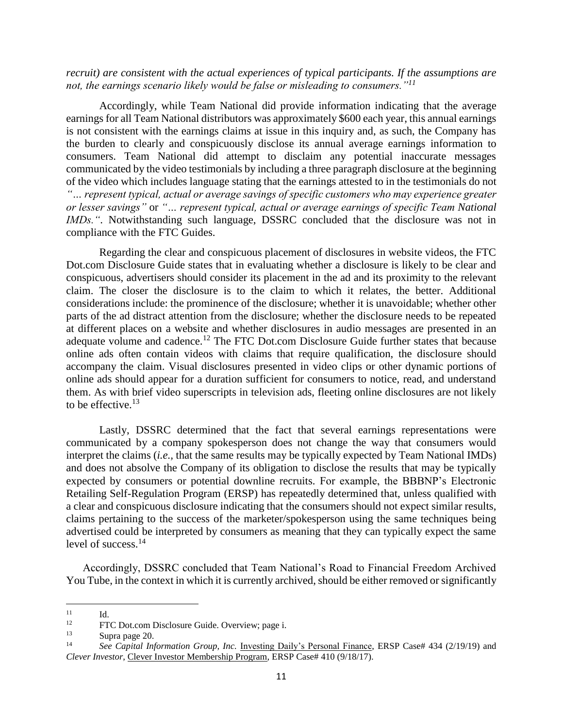*recruit) are consistent with the actual experiences of typical participants. If the assumptions are not, the earnings scenario likely would be false or misleading to consumers."<sup>11</sup>*

Accordingly, while Team National did provide information indicating that the average earnings for all Team National distributors was approximately \$600 each year, this annual earnings is not consistent with the earnings claims at issue in this inquiry and, as such, the Company has the burden to clearly and conspicuously disclose its annual average earnings information to consumers. Team National did attempt to disclaim any potential inaccurate messages communicated by the video testimonials by including a three paragraph disclosure at the beginning of the video which includes language stating that the earnings attested to in the testimonials do not *"… represent typical, actual or average savings of specific customers who may experience greater or lesser savings"* or *"… represent typical, actual or average earnings of specific Team National IMDs."*. Notwithstanding such language, DSSRC concluded that the disclosure was not in compliance with the FTC Guides.

Regarding the clear and conspicuous placement of disclosures in website videos, the FTC Dot.com Disclosure Guide states that in evaluating whether a disclosure is likely to be clear and conspicuous, advertisers should consider its placement in the ad and its proximity to the relevant claim. The closer the disclosure is to the claim to which it relates, the better. Additional considerations include: the prominence of the disclosure; whether it is unavoidable; whether other parts of the ad distract attention from the disclosure; whether the disclosure needs to be repeated at different places on a website and whether disclosures in audio messages are presented in an adequate volume and cadence.<sup>12</sup> The FTC Dot.com Disclosure Guide further states that because online ads often contain videos with claims that require qualification, the disclosure should accompany the claim. Visual disclosures presented in video clips or other dynamic portions of online ads should appear for a duration sufficient for consumers to notice, read, and understand them. As with brief video superscripts in television ads, fleeting online disclosures are not likely to be effective. $^{13}$ 

Lastly, DSSRC determined that the fact that several earnings representations were communicated by a company spokesperson does not change the way that consumers would interpret the claims (*i.e.,* that the same results may be typically expected by Team National IMDs) and does not absolve the Company of its obligation to disclose the results that may be typically expected by consumers or potential downline recruits. For example, the BBBNP's Electronic Retailing Self-Regulation Program (ERSP) has repeatedly determined that, unless qualified with a clear and conspicuous disclosure indicating that the consumers should not expect similar results, claims pertaining to the success of the marketer/spokesperson using the same techniques being advertised could be interpreted by consumers as meaning that they can typically expect the same level of success.<sup>14</sup>

Accordingly, DSSRC concluded that Team National's Road to Financial Freedom Archived You Tube, in the context in which it is currently archived, should be either removed or significantly

 $11$  $11$  Id.

<sup>&</sup>lt;sup>12</sup> FTC Dot.com Disclosure Guide. Overview; page i.<br>
<sup>13</sup> Supra page 20

 $\frac{13}{14}$  Supra page 20.

<sup>14</sup> *See Capital Information Group, Inc.* Investing Daily's Personal Finance, ERSP Case# 434 (2/19/19) and *Clever Investor*, Clever Investor Membership Program, ERSP Case# 410 (9/18/17).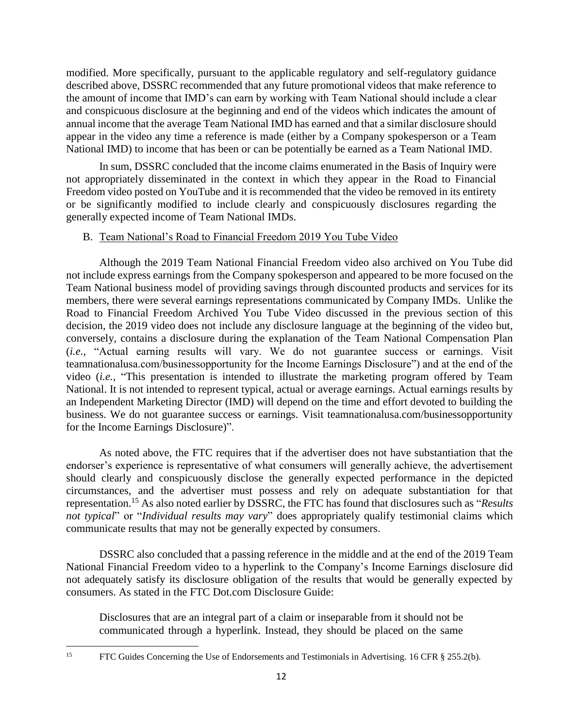modified. More specifically, pursuant to the applicable regulatory and self-regulatory guidance described above, DSSRC recommended that any future promotional videos that make reference to the amount of income that IMD's can earn by working with Team National should include a clear and conspicuous disclosure at the beginning and end of the videos which indicates the amount of annual income that the average Team National IMD has earned and that a similar disclosure should appear in the video any time a reference is made (either by a Company spokesperson or a Team National IMD) to income that has been or can be potentially be earned as a Team National IMD.

In sum, DSSRC concluded that the income claims enumerated in the Basis of Inquiry were not appropriately disseminated in the context in which they appear in the Road to Financial Freedom video posted on YouTube and it is recommended that the video be removed in its entirety or be significantly modified to include clearly and conspicuously disclosures regarding the generally expected income of Team National IMDs.

## B. Team National's Road to Financial Freedom 2019 You Tube Video

Although the 2019 Team National Financial Freedom video also archived on You Tube did not include express earnings from the Company spokesperson and appeared to be more focused on the Team National business model of providing savings through discounted products and services for its members, there were several earnings representations communicated by Company IMDs. Unlike the Road to Financial Freedom Archived You Tube Video discussed in the previous section of this decision, the 2019 video does not include any disclosure language at the beginning of the video but, conversely, contains a disclosure during the explanation of the Team National Compensation Plan (*i.e.,* "Actual earning results will vary. We do not guarantee success or earnings. Visit teamnationalusa.com/businessopportunity for the Income Earnings Disclosure") and at the end of the video (*i.e.,* "This presentation is intended to illustrate the marketing program offered by Team National. It is not intended to represent typical, actual or average earnings. Actual earnings results by an Independent Marketing Director (IMD) will depend on the time and effort devoted to building the business. We do not guarantee success or earnings. Visit teamnationalusa.com/businessopportunity for the Income Earnings Disclosure)".

As noted above, the FTC requires that if the advertiser does not have substantiation that the endorser's experience is representative of what consumers will generally achieve, the advertisement should clearly and conspicuously disclose the generally expected performance in the depicted circumstances, and the advertiser must possess and rely on adequate substantiation for that representation.<sup>15</sup> As also noted earlier by DSSRC, the FTC has found that disclosures such as "*Results not typical*" or "*Individual results may vary*" does appropriately qualify testimonial claims which communicate results that may not be generally expected by consumers.

DSSRC also concluded that a passing reference in the middle and at the end of the 2019 Team National Financial Freedom video to a hyperlink to the Company's Income Earnings disclosure did not adequately satisfy its disclosure obligation of the results that would be generally expected by consumers. As stated in the FTC Dot.com Disclosure Guide:

Disclosures that are an integral part of a claim or inseparable from it should not be communicated through a hyperlink. Instead, they should be placed on the same

 $\overline{\phantom{a}}$ 

<sup>&</sup>lt;sup>15</sup> FTC Guides Concerning the Use of Endorsements and Testimonials in Advertising. 16 CFR § 255.2(b).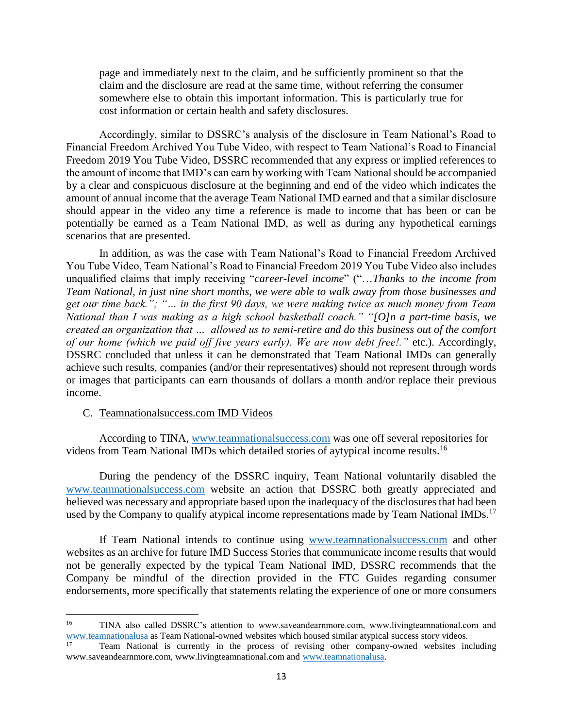page and immediately next to the claim, and be sufficiently prominent so that the claim and the disclosure are read at the same time, without referring the consumer somewhere else to obtain this important information. This is particularly true for cost information or certain health and safety disclosures.

Accordingly, similar to DSSRC's analysis of the disclosure in Team National's Road to Financial Freedom Archived You Tube Video, with respect to Team National's Road to Financial Freedom 2019 You Tube Video, DSSRC recommended that any express or implied references to the amount of income that IMD's can earn by working with Team National should be accompanied by a clear and conspicuous disclosure at the beginning and end of the video which indicates the amount of annual income that the average Team National IMD earned and that a similar disclosure should appear in the video any time a reference is made to income that has been or can be potentially be earned as a Team National IMD, as well as during any hypothetical earnings scenarios that are presented.

In addition, as was the case with Team National's Road to Financial Freedom Archived You Tube Video, Team National's Road to Financial Freedom 2019 You Tube Video also includes unqualified claims that imply receiving "*career-level income*" ("…*Thanks to the income from Team National, in just nine short months, we were able to walk away from those businesses and get our time back."; "… in the first 90 days, we were making twice as much money from Team National than I was making as a high school basketball coach." "[O]n a part-time basis, we created an organization that … allowed us to semi-retire and do this business out of the comfort of our home (which we paid off five years early). We are now debt free!."* etc.). Accordingly, DSSRC concluded that unless it can be demonstrated that Team National IMDs can generally achieve such results, companies (and/or their representatives) should not represent through words or images that participants can earn thousands of dollars a month and/or replace their previous income.

#### C. Teamnationalsuccess.com IMD Videos

 $\overline{a}$ 

According to TINA, [www.teamnationalsuccess.com](http://www.teamnationalsuccess.com/) was one off several repositories for videos from Team National IMDs which detailed stories of aytypical income results.<sup>16</sup>

During the pendency of the DSSRC inquiry, Team National voluntarily disabled the [www.teamnationalsuccess.com](http://www.teamnationalsuccess.com/) website an action that DSSRC both greatly appreciated and believed was necessary and appropriate based upon the inadequacy of the disclosures that had been used by the Company to qualify atypical income representations made by Team National IMDs.<sup>17</sup>

If Team National intends to continue using [www.teamnationalsuccess.com](http://www.teamnationalsuccess.com/) and other websites as an archive for future IMD Success Stories that communicate income results that would not be generally expected by the typical Team National IMD, DSSRC recommends that the Company be mindful of the direction provided in the FTC Guides regarding consumer endorsements, more specifically that statements relating the experience of one or more consumers

<sup>16</sup> TINA also called DSSRC's attention to www.saveandearnmore.com, www.livingteamnational.com and [www.teamnationalusa](http://www.teamnationalusa/) as Team National-owned websites which housed similar atypical success story videos.

<sup>17</sup> Team National is currently in the process of revising other company-owned websites including www.saveandearnmore.com, www.livingteamnational.com and [www.teamnationalusa.](http://www.teamnationalusa/)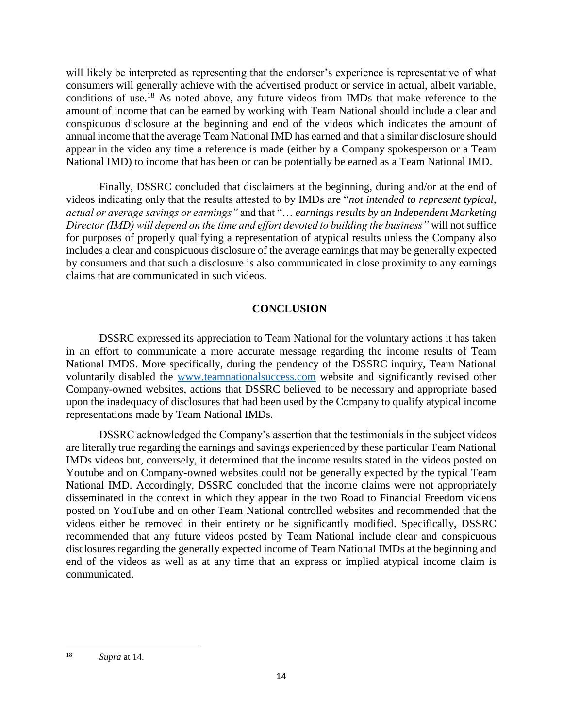will likely be interpreted as representing that the endorser's experience is representative of what consumers will generally achieve with the advertised product or service in actual, albeit variable, conditions of use.<sup>18</sup> As noted above, any future videos from IMDs that make reference to the amount of income that can be earned by working with Team National should include a clear and conspicuous disclosure at the beginning and end of the videos which indicates the amount of annual income that the average Team National IMD has earned and that a similar disclosure should appear in the video any time a reference is made (either by a Company spokesperson or a Team National IMD) to income that has been or can be potentially be earned as a Team National IMD.

Finally, DSSRC concluded that disclaimers at the beginning, during and/or at the end of videos indicating only that the results attested to by IMDs are "*not intended to represent typical, actual or average savings or earnings"* and that "… *earnings results by an Independent Marketing Director (IMD) will depend on the time and effort devoted to building the business"* will not suffice for purposes of properly qualifying a representation of atypical results unless the Company also includes a clear and conspicuous disclosure of the average earnings that may be generally expected by consumers and that such a disclosure is also communicated in close proximity to any earnings claims that are communicated in such videos.

# **CONCLUSION**

DSSRC expressed its appreciation to Team National for the voluntary actions it has taken in an effort to communicate a more accurate message regarding the income results of Team National IMDS. More specifically, during the pendency of the DSSRC inquiry, Team National voluntarily disabled the [www.teamnationalsuccess.com](http://www.teamnationalsuccess.com/) website and significantly revised other Company-owned websites, actions that DSSRC believed to be necessary and appropriate based upon the inadequacy of disclosures that had been used by the Company to qualify atypical income representations made by Team National IMDs.

DSSRC acknowledged the Company's assertion that the testimonials in the subject videos are literally true regarding the earnings and savings experienced by these particular Team National IMDs videos but, conversely, it determined that the income results stated in the videos posted on Youtube and on Company-owned websites could not be generally expected by the typical Team National IMD. Accordingly, DSSRC concluded that the income claims were not appropriately disseminated in the context in which they appear in the two Road to Financial Freedom videos posted on YouTube and on other Team National controlled websites and recommended that the videos either be removed in their entirety or be significantly modified. Specifically, DSSRC recommended that any future videos posted by Team National include clear and conspicuous disclosures regarding the generally expected income of Team National IMDs at the beginning and end of the videos as well as at any time that an express or implied atypical income claim is communicated.

 $\overline{\phantom{a}}$ <sup>18</sup> *Supra* at 14.